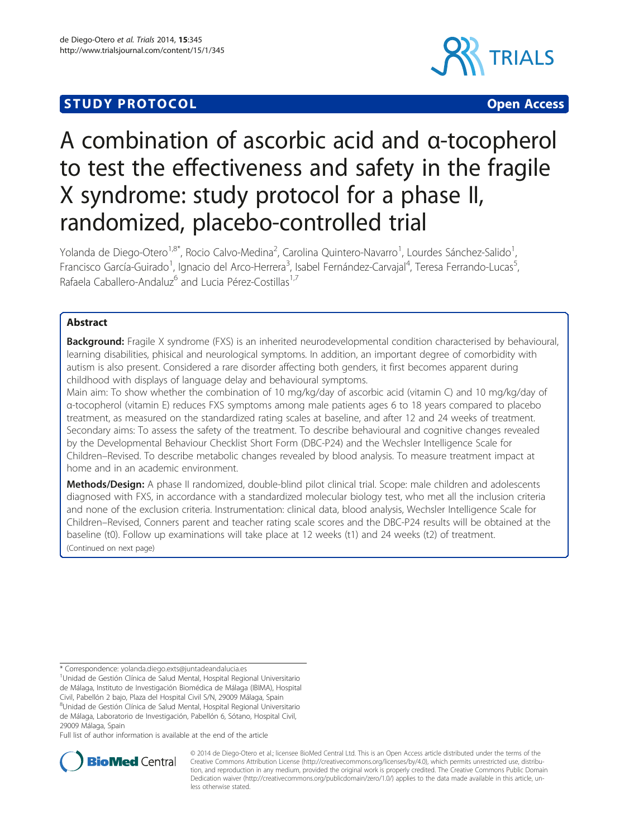## **STUDY PROTOCOL CONSUMING THE CONSUMING OPEN ACCESS**



# A combination of ascorbic acid and α-tocopherol to test the effectiveness and safety in the fragile X syndrome: study protocol for a phase II, randomized, placebo-controlled trial

Yolanda de Diego-Otero $^{1,8^*}$ , Rocio Calvo-Medina $^2$ , Carolina Quintero-Navarro $^1$ , Lourdes Sánchez-Salido $^1$ , Francisco García-Guirado<sup>1</sup>, Ignacio del Arco-Herrera<sup>3</sup>, Isabel Fernández-Carvajal<sup>4</sup>, Teresa Ferrando-Lucas<sup>5</sup> , Rafaela Caballero-Andaluz<sup>6</sup> and Lucia Pérez-Costillas<sup>1,7</sup>

## Abstract

**Background:** Fragile X syndrome (FXS) is an inherited neurodevelopmental condition characterised by behavioural, learning disabilities, phisical and neurological symptoms. In addition, an important degree of comorbidity with autism is also present. Considered a rare disorder affecting both genders, it first becomes apparent during childhood with displays of language delay and behavioural symptoms.

Main aim: To show whether the combination of 10 mg/kg/day of ascorbic acid (vitamin C) and 10 mg/kg/day of α-tocopherol (vitamin E) reduces FXS symptoms among male patients ages 6 to 18 years compared to placebo treatment, as measured on the standardized rating scales at baseline, and after 12 and 24 weeks of treatment. Secondary aims: To assess the safety of the treatment. To describe behavioural and cognitive changes revealed by the Developmental Behaviour Checklist Short Form (DBC-P24) and the Wechsler Intelligence Scale for Children–Revised. To describe metabolic changes revealed by blood analysis. To measure treatment impact at home and in an academic environment.

Methods/Design: A phase II randomized, double-blind pilot clinical trial. Scope: male children and adolescents diagnosed with FXS, in accordance with a standardized molecular biology test, who met all the inclusion criteria and none of the exclusion criteria. Instrumentation: clinical data, blood analysis, Wechsler Intelligence Scale for Children–Revised, Conners parent and teacher rating scale scores and the DBC-P24 results will be obtained at the baseline (t0). Follow up examinations will take place at 12 weeks (t1) and 24 weeks (t2) of treatment. (Continued on next page)

<sup>1</sup>Unidad de Gestión Clínica de Salud Mental, Hospital Regional Universitario de Málaga, Instituto de Investigación Biomédica de Málaga (IBIMA), Hospital Civil, Pabellón 2 bajo, Plaza del Hospital Civil S/N, 29009 Málaga, Spain

<sup>8</sup>Unidad de Gestión Clínica de Salud Mental, Hospital Regional Universitario de Málaga, Laboratorio de Investigación, Pabellón 6, Sótano, Hospital Civil, 29009 Málaga, Spain

Full list of author information is available at the end of the article



© 2014 de Diego-Otero et al.; licensee BioMed Central Ltd. This is an Open Access article distributed under the terms of the Creative Commons Attribution License (<http://creativecommons.org/licenses/by/4.0>), which permits unrestricted use, distribution, and reproduction in any medium, provided the original work is properly credited. The Creative Commons Public Domain Dedication waiver [\(http://creativecommons.org/publicdomain/zero/1.0/](http://creativecommons.org/publicdomain/zero/1.0/)) applies to the data made available in this article, unless otherwise stated.

<sup>\*</sup> Correspondence: [yolanda.diego.exts@juntadeandalucia.es](mailto:yolanda.diego.exts@juntadeandalucia.es) <sup>1</sup>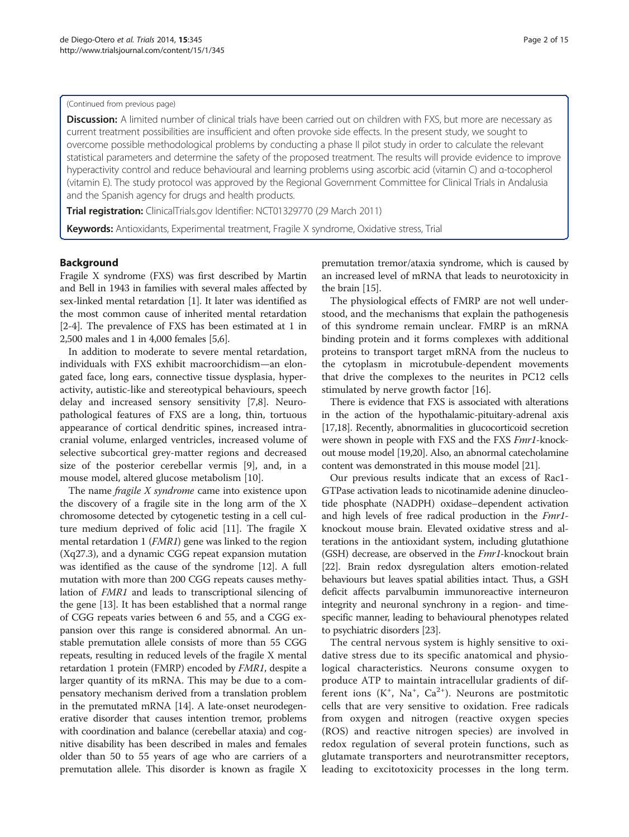#### (Continued from previous page)

Discussion: A limited number of clinical trials have been carried out on children with FXS, but more are necessary as current treatment possibilities are insufficient and often provoke side effects. In the present study, we sought to overcome possible methodological problems by conducting a phase II pilot study in order to calculate the relevant statistical parameters and determine the safety of the proposed treatment. The results will provide evidence to improve hyperactivity control and reduce behavioural and learning problems using ascorbic acid (vitamin C) and α-tocopherol (vitamin E). The study protocol was approved by the Regional Government Committee for Clinical Trials in Andalusia and the Spanish agency for drugs and health products.

**Trial registration:** ClinicalTrials.gov Identifier: [NCT01329770](http://clinicaltrials.gov/show/NCT01329770) (29 March 2011)

Keywords: Antioxidants, Experimental treatment, Fragile X syndrome, Oxidative stress, Trial

## Background

Fragile X syndrome (FXS) was first described by Martin and Bell in 1943 in families with several males affected by sex-linked mental retardation [\[1](#page-12-0)]. It later was identified as the most common cause of inherited mental retardation [[2-4\]](#page-12-0). The prevalence of FXS has been estimated at 1 in 2,500 males and 1 in 4,000 females [[5,6\]](#page-12-0).

In addition to moderate to severe mental retardation, individuals with FXS exhibit macroorchidism—an elongated face, long ears, connective tissue dysplasia, hyperactivity, autistic-like and stereotypical behaviours, speech delay and increased sensory sensitivity [\[7,8](#page-12-0)]. Neuropathological features of FXS are a long, thin, tortuous appearance of cortical dendritic spines, increased intracranial volume, enlarged ventricles, increased volume of selective subcortical grey-matter regions and decreased size of the posterior cerebellar vermis [[9\]](#page-12-0), and, in a mouse model, altered glucose metabolism [\[10](#page-12-0)].

The name *fragile X syndrome* came into existence upon the discovery of a fragile site in the long arm of the X chromosome detected by cytogenetic testing in a cell culture medium deprived of folic acid [\[11\]](#page-12-0). The fragile X mental retardation 1 (FMR1) gene was linked to the region (Xq27.3), and a dynamic CGG repeat expansion mutation was identified as the cause of the syndrome [[12](#page-12-0)]. A full mutation with more than 200 CGG repeats causes methylation of FMR1 and leads to transcriptional silencing of the gene [\[13\]](#page-12-0). It has been established that a normal range of CGG repeats varies between 6 and 55, and a CGG expansion over this range is considered abnormal. An unstable premutation allele consists of more than 55 CGG repeats, resulting in reduced levels of the fragile X mental retardation 1 protein (FMRP) encoded by FMR1, despite a larger quantity of its mRNA. This may be due to a compensatory mechanism derived from a translation problem in the premutated mRNA [[14](#page-12-0)]. A late-onset neurodegenerative disorder that causes intention tremor, problems with coordination and balance (cerebellar ataxia) and cognitive disability has been described in males and females older than 50 to 55 years of age who are carriers of a premutation allele. This disorder is known as fragile X

premutation tremor/ataxia syndrome, which is caused by an increased level of mRNA that leads to neurotoxicity in the brain [\[15\]](#page-12-0).

The physiological effects of FMRP are not well understood, and the mechanisms that explain the pathogenesis of this syndrome remain unclear. FMRP is an mRNA binding protein and it forms complexes with additional proteins to transport target mRNA from the nucleus to the cytoplasm in microtubule-dependent movements that drive the complexes to the neurites in PC12 cells stimulated by nerve growth factor [\[16\]](#page-12-0).

There is evidence that FXS is associated with alterations in the action of the hypothalamic-pituitary-adrenal axis [[17,18\]](#page-12-0). Recently, abnormalities in glucocorticoid secretion were shown in people with FXS and the FXS *Fmr1*-knockout mouse model [\[19,20\]](#page-12-0). Also, an abnormal catecholamine content was demonstrated in this mouse model [\[21\]](#page-12-0).

Our previous results indicate that an excess of Rac1- GTPase activation leads to nicotinamide adenine dinucleotide phosphate (NADPH) oxidase–dependent activation and high levels of free radical production in the Fmr1 knockout mouse brain. Elevated oxidative stress and alterations in the antioxidant system, including glutathione (GSH) decrease, are observed in the Fmr1-knockout brain [[22](#page-12-0)]. Brain redox dysregulation alters emotion-related behaviours but leaves spatial abilities intact. Thus, a GSH deficit affects parvalbumin immunoreactive interneuron integrity and neuronal synchrony in a region- and timespecific manner, leading to behavioural phenotypes related to psychiatric disorders [[23](#page-12-0)].

The central nervous system is highly sensitive to oxidative stress due to its specific anatomical and physiological characteristics. Neurons consume oxygen to produce ATP to maintain intracellular gradients of different ions  $(K^+, Na^+, Ca^{2+})$ . Neurons are postmitotic cells that are very sensitive to oxidation. Free radicals from oxygen and nitrogen (reactive oxygen species (ROS) and reactive nitrogen species) are involved in redox regulation of several protein functions, such as glutamate transporters and neurotransmitter receptors, leading to excitotoxicity processes in the long term.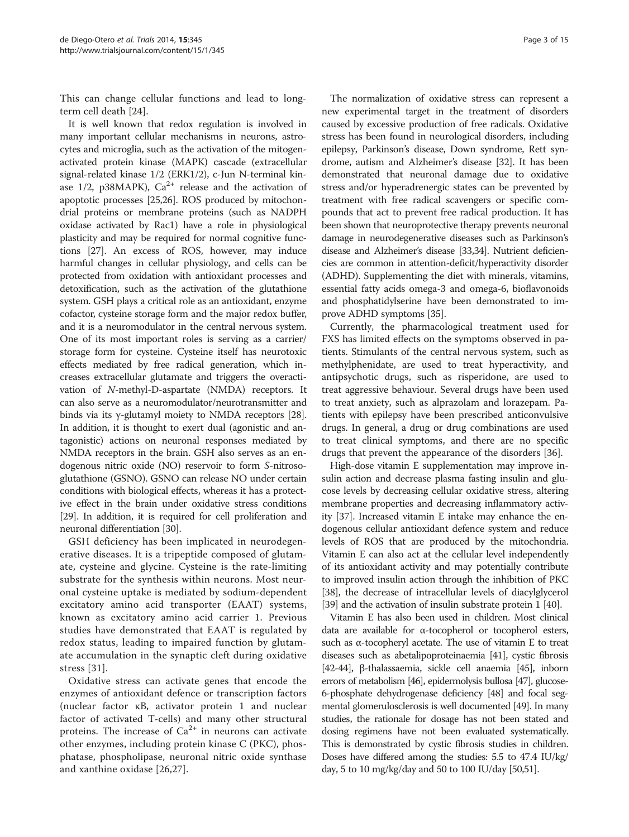This can change cellular functions and lead to longterm cell death [[24](#page-12-0)].

It is well known that redox regulation is involved in many important cellular mechanisms in neurons, astrocytes and microglia, such as the activation of the mitogenactivated protein kinase (MAPK) cascade (extracellular signal-related kinase 1/2 (ERK1/2), c-Jun N-terminal kinase 1/2, p38MAPK),  $Ca^{2+}$  release and the activation of apoptotic processes [\[25,26](#page-12-0)]. ROS produced by mitochondrial proteins or membrane proteins (such as NADPH oxidase activated by Rac1) have a role in physiological plasticity and may be required for normal cognitive functions [[27\]](#page-12-0). An excess of ROS, however, may induce harmful changes in cellular physiology, and cells can be protected from oxidation with antioxidant processes and detoxification, such as the activation of the glutathione system. GSH plays a critical role as an antioxidant, enzyme cofactor, cysteine storage form and the major redox buffer, and it is a neuromodulator in the central nervous system. One of its most important roles is serving as a carrier/ storage form for cysteine. Cysteine itself has neurotoxic effects mediated by free radical generation, which increases extracellular glutamate and triggers the overactivation of N-methyl-D-aspartate (NMDA) receptors. It can also serve as a neuromodulator/neurotransmitter and binds via its γ-glutamyl moiety to NMDA receptors [[28](#page-12-0)]. In addition, it is thought to exert dual (agonistic and antagonistic) actions on neuronal responses mediated by NMDA receptors in the brain. GSH also serves as an endogenous nitric oxide (NO) reservoir to form S-nitrosoglutathione (GSNO). GSNO can release NO under certain conditions with biological effects, whereas it has a protective effect in the brain under oxidative stress conditions [[29](#page-12-0)]. In addition, it is required for cell proliferation and neuronal differentiation [[30](#page-12-0)].

GSH deficiency has been implicated in neurodegenerative diseases. It is a tripeptide composed of glutamate, cysteine and glycine. Cysteine is the rate-limiting substrate for the synthesis within neurons. Most neuronal cysteine uptake is mediated by sodium-dependent excitatory amino acid transporter (EAAT) systems, known as excitatory amino acid carrier 1. Previous studies have demonstrated that EAAT is regulated by redox status, leading to impaired function by glutamate accumulation in the synaptic cleft during oxidative stress [\[31\]](#page-12-0).

Oxidative stress can activate genes that encode the enzymes of antioxidant defence or transcription factors (nuclear factor κB, activator protein 1 and nuclear factor of activated T-cells) and many other structural proteins. The increase of  $Ca^{2+}$  in neurons can activate other enzymes, including protein kinase C (PKC), phosphatase, phospholipase, neuronal nitric oxide synthase and xanthine oxidase [[26,27](#page-12-0)].

The normalization of oxidative stress can represent a new experimental target in the treatment of disorders caused by excessive production of free radicals. Oxidative stress has been found in neurological disorders, including epilepsy, Parkinson's disease, Down syndrome, Rett syndrome, autism and Alzheimer's disease [[32](#page-12-0)]. It has been demonstrated that neuronal damage due to oxidative stress and/or hyperadrenergic states can be prevented by treatment with free radical scavengers or specific compounds that act to prevent free radical production. It has been shown that neuroprotective therapy prevents neuronal damage in neurodegenerative diseases such as Parkinson's disease and Alzheimer's disease [[33](#page-12-0)[,34](#page-13-0)]. Nutrient deficiencies are common in attention-deficit/hyperactivity disorder (ADHD). Supplementing the diet with minerals, vitamins, essential fatty acids omega-3 and omega-6, bioflavonoids and phosphatidylserine have been demonstrated to improve ADHD symptoms [[35](#page-13-0)].

Currently, the pharmacological treatment used for FXS has limited effects on the symptoms observed in patients. Stimulants of the central nervous system, such as methylphenidate, are used to treat hyperactivity, and antipsychotic drugs, such as risperidone, are used to treat aggressive behaviour. Several drugs have been used to treat anxiety, such as alprazolam and lorazepam. Patients with epilepsy have been prescribed anticonvulsive drugs. In general, a drug or drug combinations are used to treat clinical symptoms, and there are no specific drugs that prevent the appearance of the disorders [\[36\]](#page-13-0).

High-dose vitamin E supplementation may improve insulin action and decrease plasma fasting insulin and glucose levels by decreasing cellular oxidative stress, altering membrane properties and decreasing inflammatory activity [\[37\]](#page-13-0). Increased vitamin E intake may enhance the endogenous cellular antioxidant defence system and reduce levels of ROS that are produced by the mitochondria. Vitamin E can also act at the cellular level independently of its antioxidant activity and may potentially contribute to improved insulin action through the inhibition of PKC [[38](#page-13-0)], the decrease of intracellular levels of diacylglycerol [[39](#page-13-0)] and the activation of insulin substrate protein 1 [[40](#page-13-0)].

Vitamin E has also been used in children. Most clinical data are available for α-tocopherol or tocopherol esters, such as α-tocopheryl acetate. The use of vitamin E to treat diseases such as abetalipoproteinaemia [[41](#page-13-0)], cystic fibrosis [[42-44\]](#page-13-0), β-thalassaemia, sickle cell anaemia [\[45\]](#page-13-0), inborn errors of metabolism [\[46\]](#page-13-0), epidermolysis bullosa [\[47\]](#page-13-0), glucose-6-phosphate dehydrogenase deficiency [[48\]](#page-13-0) and focal segmental glomerulosclerosis is well documented [\[49](#page-13-0)]. In many studies, the rationale for dosage has not been stated and dosing regimens have not been evaluated systematically. This is demonstrated by cystic fibrosis studies in children. Doses have differed among the studies: 5.5 to 47.4 IU/kg/ day, 5 to 10 mg/kg/day and 50 to 100 IU/day [\[50,51\]](#page-13-0).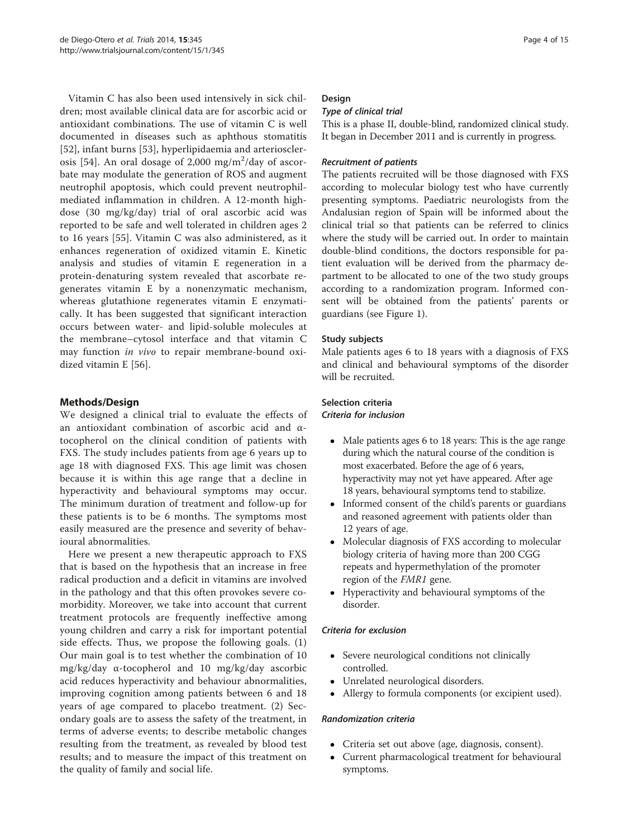Vitamin C has also been used intensively in sick children; most available clinical data are for ascorbic acid or antioxidant combinations. The use of vitamin C is well documented in diseases such as aphthous stomatitis [[52\]](#page-13-0), infant burns [[53\]](#page-13-0), hyperlipidaemia and arterioscler-osis [\[54](#page-13-0)]. An oral dosage of 2,000 mg/m<sup>2</sup>/day of ascorbate may modulate the generation of ROS and augment neutrophil apoptosis, which could prevent neutrophilmediated inflammation in children. A 12-month highdose (30 mg/kg/day) trial of oral ascorbic acid was reported to be safe and well tolerated in children ages 2 to 16 years [\[55](#page-13-0)]. Vitamin C was also administered, as it enhances regeneration of oxidized vitamin E. Kinetic analysis and studies of vitamin E regeneration in a protein-denaturing system revealed that ascorbate regenerates vitamin E by a nonenzymatic mechanism, whereas glutathione regenerates vitamin E enzymatically. It has been suggested that significant interaction occurs between water- and lipid-soluble molecules at the membrane–cytosol interface and that vitamin C may function in vivo to repair membrane-bound oxidized vitamin E [\[56](#page-13-0)].

## Methods/Design

We designed a clinical trial to evaluate the effects of an antioxidant combination of ascorbic acid and αtocopherol on the clinical condition of patients with FXS. The study includes patients from age 6 years up to age 18 with diagnosed FXS. This age limit was chosen because it is within this age range that a decline in hyperactivity and behavioural symptoms may occur. The minimum duration of treatment and follow-up for these patients is to be 6 months. The symptoms most easily measured are the presence and severity of behavioural abnormalities.

Here we present a new therapeutic approach to FXS that is based on the hypothesis that an increase in free radical production and a deficit in vitamins are involved in the pathology and that this often provokes severe comorbidity. Moreover, we take into account that current treatment protocols are frequently ineffective among young children and carry a risk for important potential side effects. Thus, we propose the following goals. (1) Our main goal is to test whether the combination of 10 mg/kg/day α-tocopherol and 10 mg/kg/day ascorbic acid reduces hyperactivity and behaviour abnormalities, improving cognition among patients between 6 and 18 years of age compared to placebo treatment. (2) Secondary goals are to assess the safety of the treatment, in terms of adverse events; to describe metabolic changes resulting from the treatment, as revealed by blood test results; and to measure the impact of this treatment on the quality of family and social life.

## Design

#### Type of clinical trial

This is a phase II, double-blind, randomized clinical study. It began in December 2011 and is currently in progress.

#### Recruitment of patients

The patients recruited will be those diagnosed with FXS according to molecular biology test who have currently presenting symptoms. Paediatric neurologists from the Andalusian region of Spain will be informed about the clinical trial so that patients can be referred to clinics where the study will be carried out. In order to maintain double-blind conditions, the doctors responsible for patient evaluation will be derived from the pharmacy department to be allocated to one of the two study groups according to a randomization program. Informed consent will be obtained from the patients' parents or guardians (see Figure [1](#page-4-0)).

#### Study subjects

Male patients ages 6 to 18 years with a diagnosis of FXS and clinical and behavioural symptoms of the disorder will be recruited.

## Selection criteria

Criteria for inclusion

- Male patients ages 6 to 18 years: This is the age range during which the natural course of the condition is most exacerbated. Before the age of 6 years, hyperactivity may not yet have appeared. After age 18 years, behavioural symptoms tend to stabilize.
- Informed consent of the child's parents or guardians and reasoned agreement with patients older than 12 years of age.
- Molecular diagnosis of FXS according to molecular biology criteria of having more than 200 CGG repeats and hypermethylation of the promoter region of the FMR1 gene.
- Hyperactivity and behavioural symptoms of the disorder.

## Criteria for exclusion

- Severe neurological conditions not clinically controlled.
- Unrelated neurological disorders.
- Allergy to formula components (or excipient used).

#### Randomization criteria

- Criteria set out above (age, diagnosis, consent).
- Current pharmacological treatment for behavioural symptoms.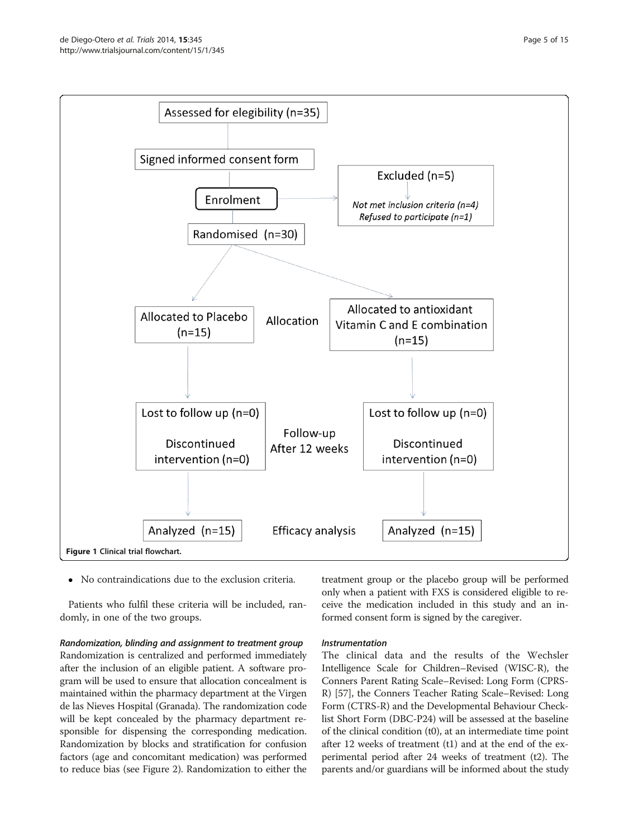<span id="page-4-0"></span>

No contraindications due to the exclusion criteria.

Patients who fulfil these criteria will be included, randomly, in one of the two groups.

Randomization, blinding and assignment to treatment group Randomization is centralized and performed immediately after the inclusion of an eligible patient. A software program will be used to ensure that allocation concealment is maintained within the pharmacy department at the Virgen de las Nieves Hospital (Granada). The randomization code will be kept concealed by the pharmacy department responsible for dispensing the corresponding medication. Randomization by blocks and stratification for confusion factors (age and concomitant medication) was performed to reduce bias (see Figure [2](#page-5-0)). Randomization to either the

#### Instrumentation

The clinical data and the results of the Wechsler Intelligence Scale for Children–Revised (WISC-R), the Conners Parent Rating Scale–Revised: Long Form (CPRS-R) [\[57\]](#page-13-0), the Conners Teacher Rating Scale–Revised: Long Form (CTRS-R) and the Developmental Behaviour Checklist Short Form (DBC-P24) will be assessed at the baseline of the clinical condition (t0), at an intermediate time point after 12 weeks of treatment (t1) and at the end of the experimental period after 24 weeks of treatment (t2). The parents and/or guardians will be informed about the study

treatment group or the placebo group will be performed only when a patient with FXS is considered eligible to receive the medication included in this study and an in-

formed consent form is signed by the caregiver.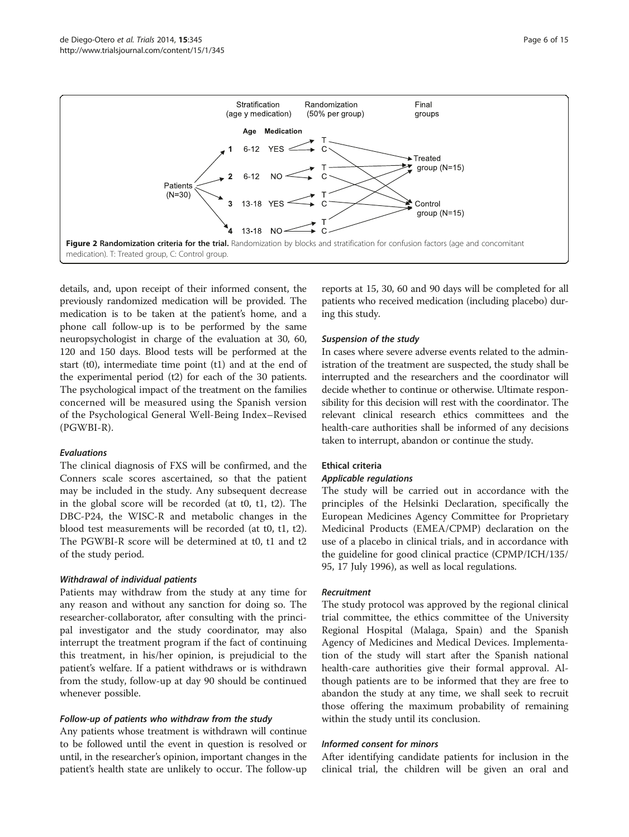<span id="page-5-0"></span>

details, and, upon receipt of their informed consent, the previously randomized medication will be provided. The medication is to be taken at the patient's home, and a phone call follow-up is to be performed by the same neuropsychologist in charge of the evaluation at 30, 60, 120 and 150 days. Blood tests will be performed at the start (t0), intermediate time point (t1) and at the end of the experimental period (t2) for each of the 30 patients. The psychological impact of the treatment on the families concerned will be measured using the Spanish version of the Psychological General Well-Being Index–Revised (PGWBI-R).

## Evaluations

The clinical diagnosis of FXS will be confirmed, and the Conners scale scores ascertained, so that the patient may be included in the study. Any subsequent decrease in the global score will be recorded (at t0, t1, t2). The DBC-P24, the WISC-R and metabolic changes in the blood test measurements will be recorded (at t0, t1, t2). The PGWBI-R score will be determined at t0, t1 and t2 of the study period.

## Withdrawal of individual patients

Patients may withdraw from the study at any time for any reason and without any sanction for doing so. The researcher-collaborator, after consulting with the principal investigator and the study coordinator, may also interrupt the treatment program if the fact of continuing this treatment, in his/her opinion, is prejudicial to the patient's welfare. If a patient withdraws or is withdrawn from the study, follow-up at day 90 should be continued whenever possible.

## Follow-up of patients who withdraw from the study

Any patients whose treatment is withdrawn will continue to be followed until the event in question is resolved or until, in the researcher's opinion, important changes in the patient's health state are unlikely to occur. The follow-up

reports at 15, 30, 60 and 90 days will be completed for all patients who received medication (including placebo) during this study.

#### Suspension of the study

In cases where severe adverse events related to the administration of the treatment are suspected, the study shall be interrupted and the researchers and the coordinator will decide whether to continue or otherwise. Ultimate responsibility for this decision will rest with the coordinator. The relevant clinical research ethics committees and the health-care authorities shall be informed of any decisions taken to interrupt, abandon or continue the study.

#### Ethical criteria

#### Applicable regulations

The study will be carried out in accordance with the principles of the Helsinki Declaration, specifically the European Medicines Agency Committee for Proprietary Medicinal Products (EMEA/CPMP) declaration on the use of a placebo in clinical trials, and in accordance with the guideline for good clinical practice (CPMP/ICH/135/ 95, 17 July 1996), as well as local regulations.

## Recruitment

The study protocol was approved by the regional clinical trial committee, the ethics committee of the University Regional Hospital (Malaga, Spain) and the Spanish Agency of Medicines and Medical Devices. Implementation of the study will start after the Spanish national health-care authorities give their formal approval. Although patients are to be informed that they are free to abandon the study at any time, we shall seek to recruit those offering the maximum probability of remaining within the study until its conclusion.

## Informed consent for minors

After identifying candidate patients for inclusion in the clinical trial, the children will be given an oral and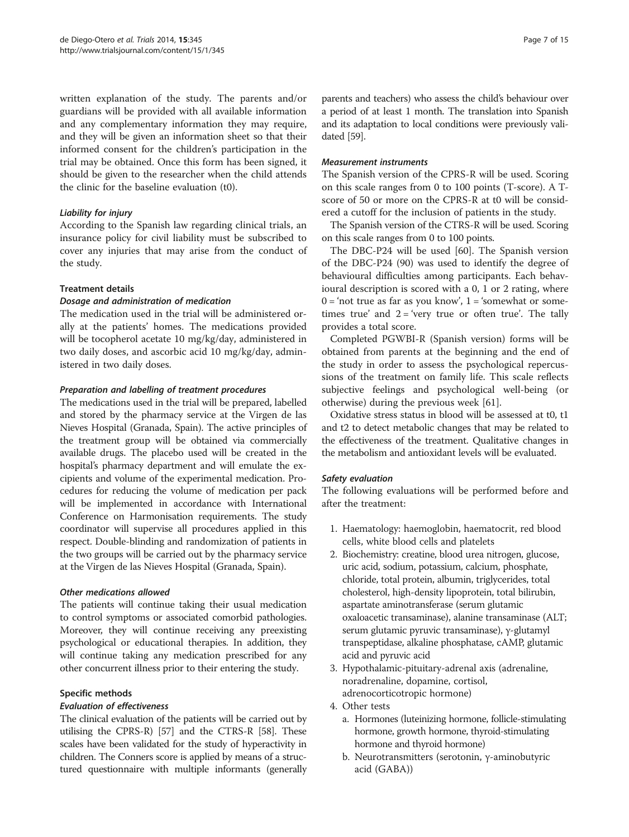written explanation of the study. The parents and/or guardians will be provided with all available information and any complementary information they may require, and they will be given an information sheet so that their informed consent for the children's participation in the trial may be obtained. Once this form has been signed, it should be given to the researcher when the child attends the clinic for the baseline evaluation (t0).

## Liability for injury

According to the Spanish law regarding clinical trials, an insurance policy for civil liability must be subscribed to cover any injuries that may arise from the conduct of the study.

## Treatment details

## Dosage and administration of medication

The medication used in the trial will be administered orally at the patients' homes. The medications provided will be tocopherol acetate 10 mg/kg/day, administered in two daily doses, and ascorbic acid 10 mg/kg/day, administered in two daily doses.

## Preparation and labelling of treatment procedures

The medications used in the trial will be prepared, labelled and stored by the pharmacy service at the Virgen de las Nieves Hospital (Granada, Spain). The active principles of the treatment group will be obtained via commercially available drugs. The placebo used will be created in the hospital's pharmacy department and will emulate the excipients and volume of the experimental medication. Procedures for reducing the volume of medication per pack will be implemented in accordance with International Conference on Harmonisation requirements. The study coordinator will supervise all procedures applied in this respect. Double-blinding and randomization of patients in the two groups will be carried out by the pharmacy service at the Virgen de las Nieves Hospital (Granada, Spain).

## Other medications allowed

The patients will continue taking their usual medication to control symptoms or associated comorbid pathologies. Moreover, they will continue receiving any preexisting psychological or educational therapies. In addition, they will continue taking any medication prescribed for any other concurrent illness prior to their entering the study.

## Specific methods

## Evaluation of effectiveness

The clinical evaluation of the patients will be carried out by utilising the CPRS-R) [[57](#page-13-0)] and the CTRS-R [[58](#page-13-0)]. These scales have been validated for the study of hyperactivity in children. The Conners score is applied by means of a structured questionnaire with multiple informants (generally

parents and teachers) who assess the child's behaviour over a period of at least 1 month. The translation into Spanish and its adaptation to local conditions were previously validated [\[59](#page-13-0)].

## Measurement instruments

The Spanish version of the CPRS-R will be used. Scoring on this scale ranges from 0 to 100 points (T-score). A Tscore of 50 or more on the CPRS-R at t0 will be considered a cutoff for the inclusion of patients in the study.

The Spanish version of the CTRS-R will be used. Scoring on this scale ranges from 0 to 100 points.

The DBC-P24 will be used [[60\]](#page-13-0). The Spanish version of the DBC-P24 (90) was used to identify the degree of behavioural difficulties among participants. Each behavioural description is scored with a 0, 1 or 2 rating, where  $0 = 'not true$  as far as you know',  $1 = 'somewhat$  or sometimes true' and  $2 = 'very$  true or often true'. The tally provides a total score.

Completed PGWBI-R (Spanish version) forms will be obtained from parents at the beginning and the end of the study in order to assess the psychological repercussions of the treatment on family life. This scale reflects subjective feelings and psychological well-being (or otherwise) during the previous week [\[61\]](#page-13-0).

Oxidative stress status in blood will be assessed at t0, t1 and t2 to detect metabolic changes that may be related to the effectiveness of the treatment. Qualitative changes in the metabolism and antioxidant levels will be evaluated.

## Safety evaluation

The following evaluations will be performed before and after the treatment:

- 1. Haematology: haemoglobin, haematocrit, red blood cells, white blood cells and platelets
- 2. Biochemistry: creatine, blood urea nitrogen, glucose, uric acid, sodium, potassium, calcium, phosphate, chloride, total protein, albumin, triglycerides, total cholesterol, high-density lipoprotein, total bilirubin, aspartate aminotransferase (serum glutamic oxaloacetic transaminase), alanine transaminase (ALT; serum glutamic pyruvic transaminase), γ-glutamyl transpeptidase, alkaline phosphatase, cAMP, glutamic acid and pyruvic acid
- 3. Hypothalamic-pituitary-adrenal axis (adrenaline, noradrenaline, dopamine, cortisol, adrenocorticotropic hormone)
- 4. Other tests
	- a. Hormones (luteinizing hormone, follicle-stimulating hormone, growth hormone, thyroid-stimulating hormone and thyroid hormone)
	- b. Neurotransmitters (serotonin, γ-aminobutyric acid (GABA))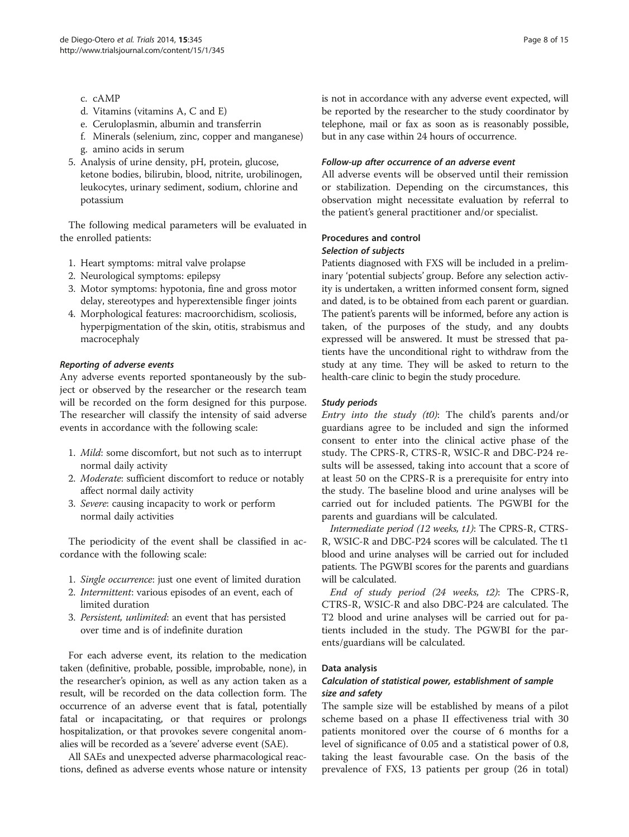- c. cAMP
- d. Vitamins (vitamins A, C and E)
- e. Ceruloplasmin, albumin and transferrin
- f. Minerals (selenium, zinc, copper and manganese)
- g. amino acids in serum
- 5. Analysis of urine density, pH, protein, glucose, ketone bodies, bilirubin, blood, nitrite, urobilinogen, leukocytes, urinary sediment, sodium, chlorine and potassium

The following medical parameters will be evaluated in the enrolled patients:

- 1. Heart symptoms: mitral valve prolapse
- 2. Neurological symptoms: epilepsy
- 3. Motor symptoms: hypotonia, fine and gross motor delay, stereotypes and hyperextensible finger joints
- 4. Morphological features: macroorchidism, scoliosis, hyperpigmentation of the skin, otitis, strabismus and macrocephaly

#### Reporting of adverse events

Any adverse events reported spontaneously by the subject or observed by the researcher or the research team will be recorded on the form designed for this purpose. The researcher will classify the intensity of said adverse events in accordance with the following scale:

- 1. Mild: some discomfort, but not such as to interrupt normal daily activity
- 2. Moderate: sufficient discomfort to reduce or notably affect normal daily activity
- 3. Severe: causing incapacity to work or perform normal daily activities

The periodicity of the event shall be classified in accordance with the following scale:

- 1. Single occurrence: just one event of limited duration
- 2. Intermittent: various episodes of an event, each of limited duration
- 3. Persistent, unlimited: an event that has persisted over time and is of indefinite duration

For each adverse event, its relation to the medication taken (definitive, probable, possible, improbable, none), in the researcher's opinion, as well as any action taken as a result, will be recorded on the data collection form. The occurrence of an adverse event that is fatal, potentially fatal or incapacitating, or that requires or prolongs hospitalization, or that provokes severe congenital anomalies will be recorded as a 'severe' adverse event (SAE).

All SAEs and unexpected adverse pharmacological reactions, defined as adverse events whose nature or intensity is not in accordance with any adverse event expected, will be reported by the researcher to the study coordinator by telephone, mail or fax as soon as is reasonably possible, but in any case within 24 hours of occurrence.

#### Follow-up after occurrence of an adverse event

All adverse events will be observed until their remission or stabilization. Depending on the circumstances, this observation might necessitate evaluation by referral to the patient's general practitioner and/or specialist.

#### Procedures and control

#### Selection of subjects

Patients diagnosed with FXS will be included in a preliminary 'potential subjects' group. Before any selection activity is undertaken, a written informed consent form, signed and dated, is to be obtained from each parent or guardian. The patient's parents will be informed, before any action is taken, of the purposes of the study, and any doubts expressed will be answered. It must be stressed that patients have the unconditional right to withdraw from the study at any time. They will be asked to return to the health-care clinic to begin the study procedure.

#### Study periods

*Entry into the study (t0)*: The child's parents and/or guardians agree to be included and sign the informed consent to enter into the clinical active phase of the study. The CPRS-R, CTRS-R, WSIC-R and DBC-P24 results will be assessed, taking into account that a score of at least 50 on the CPRS-R is a prerequisite for entry into the study. The baseline blood and urine analyses will be carried out for included patients. The PGWBI for the parents and guardians will be calculated.

Intermediate period (12 weeks, t1): The CPRS-R, CTRS-R, WSIC-R and DBC-P24 scores will be calculated. The t1 blood and urine analyses will be carried out for included patients. The PGWBI scores for the parents and guardians will be calculated.

End of study period (24 weeks, t2): The CPRS-R, CTRS-R, WSIC-R and also DBC-P24 are calculated. The T2 blood and urine analyses will be carried out for patients included in the study. The PGWBI for the parents/guardians will be calculated.

#### Data analysis

## Calculation of statistical power, establishment of sample size and safety

The sample size will be established by means of a pilot scheme based on a phase II effectiveness trial with 30 patients monitored over the course of 6 months for a level of significance of 0.05 and a statistical power of 0.8, taking the least favourable case. On the basis of the prevalence of FXS, 13 patients per group (26 in total)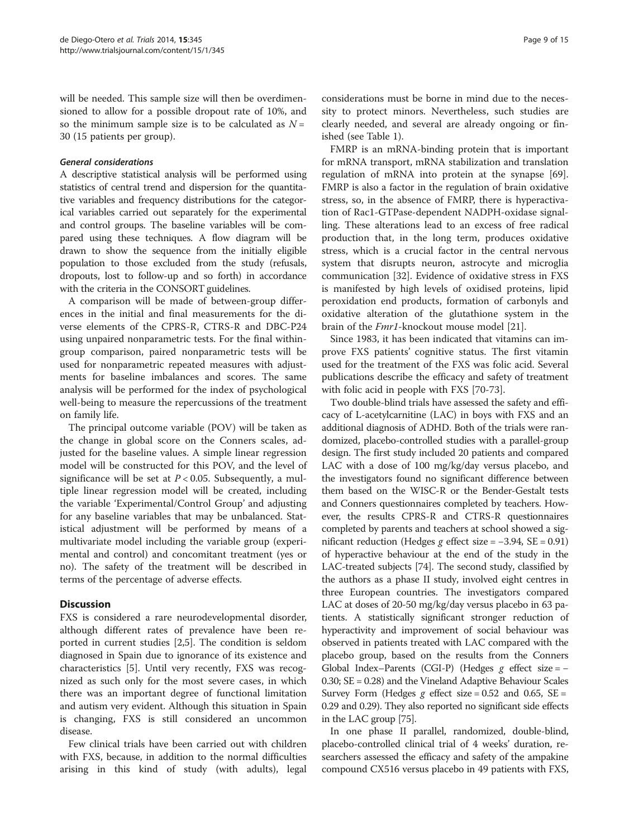will be needed. This sample size will then be overdimensioned to allow for a possible dropout rate of 10%, and so the minimum sample size is to be calculated as  $N =$ 30 (15 patients per group).

#### General considerations

A descriptive statistical analysis will be performed using statistics of central trend and dispersion for the quantitative variables and frequency distributions for the categorical variables carried out separately for the experimental and control groups. The baseline variables will be compared using these techniques. A flow diagram will be drawn to show the sequence from the initially eligible population to those excluded from the study (refusals, dropouts, lost to follow-up and so forth) in accordance with the criteria in the CONSORT guidelines.

A comparison will be made of between-group differences in the initial and final measurements for the diverse elements of the CPRS-R, CTRS-R and DBC-P24 using unpaired nonparametric tests. For the final withingroup comparison, paired nonparametric tests will be used for nonparametric repeated measures with adjustments for baseline imbalances and scores. The same analysis will be performed for the index of psychological well-being to measure the repercussions of the treatment on family life.

The principal outcome variable (POV) will be taken as the change in global score on the Conners scales, adjusted for the baseline values. A simple linear regression model will be constructed for this POV, and the level of significance will be set at  $P < 0.05$ . Subsequently, a multiple linear regression model will be created, including the variable 'Experimental/Control Group' and adjusting for any baseline variables that may be unbalanced. Statistical adjustment will be performed by means of a multivariate model including the variable group (experimental and control) and concomitant treatment (yes or no). The safety of the treatment will be described in terms of the percentage of adverse effects.

#### **Discussion**

FXS is considered a rare neurodevelopmental disorder, although different rates of prevalence have been reported in current studies [[2,5\]](#page-12-0). The condition is seldom diagnosed in Spain due to ignorance of its existence and characteristics [[5](#page-12-0)]. Until very recently, FXS was recognized as such only for the most severe cases, in which there was an important degree of functional limitation and autism very evident. Although this situation in Spain is changing, FXS is still considered an uncommon disease.

Few clinical trials have been carried out with children with FXS, because, in addition to the normal difficulties arising in this kind of study (with adults), legal considerations must be borne in mind due to the necessity to protect minors. Nevertheless, such studies are clearly needed, and several are already ongoing or finished (see Table [1](#page-9-0)).

FMRP is an mRNA-binding protein that is important for mRNA transport, mRNA stabilization and translation regulation of mRNA into protein at the synapse [\[69](#page-13-0)]. FMRP is also a factor in the regulation of brain oxidative stress, so, in the absence of FMRP, there is hyperactivation of Rac1-GTPase-dependent NADPH-oxidase signalling. These alterations lead to an excess of free radical production that, in the long term, produces oxidative stress, which is a crucial factor in the central nervous system that disrupts neuron, astrocyte and microglia communication [\[32](#page-12-0)]. Evidence of oxidative stress in FXS is manifested by high levels of oxidised proteins, lipid peroxidation end products, formation of carbonyls and oxidative alteration of the glutathione system in the brain of the *Fmr1*-knockout mouse model [[21](#page-12-0)].

Since 1983, it has been indicated that vitamins can improve FXS patients' cognitive status. The first vitamin used for the treatment of the FXS was folic acid. Several publications describe the efficacy and safety of treatment with folic acid in people with FXS [\[70-73](#page-13-0)].

Two double-blind trials have assessed the safety and efficacy of L-acetylcarnitine (LAC) in boys with FXS and an additional diagnosis of ADHD. Both of the trials were randomized, placebo-controlled studies with a parallel-group design. The first study included 20 patients and compared LAC with a dose of 100 mg/kg/day versus placebo, and the investigators found no significant difference between them based on the WISC-R or the Bender-Gestalt tests and Conners questionnaires completed by teachers. However, the results CPRS-R and CTRS-R questionnaires completed by parents and teachers at school showed a significant reduction (Hedges g effect size =  $-3.94$ , SE = 0.91) of hyperactive behaviour at the end of the study in the LAC-treated subjects [\[74\]](#page-13-0). The second study, classified by the authors as a phase II study, involved eight centres in three European countries. The investigators compared LAC at doses of 20-50 mg/kg/day versus placebo in 63 patients. A statistically significant stronger reduction of hyperactivity and improvement of social behaviour was observed in patients treated with LAC compared with the placebo group, based on the results from the Conners Global Index–Parents (CGI-P) (Hedges  $g$  effect size = − 0.30; SE = 0.28) and the Vineland Adaptive Behaviour Scales Survey Form (Hedges  $g$  effect size = 0.52 and 0.65, SE = 0.29 and 0.29). They also reported no significant side effects in the LAC group [\[75](#page-13-0)].

In one phase II parallel, randomized, double-blind, placebo-controlled clinical trial of 4 weeks' duration, researchers assessed the efficacy and safety of the ampakine compound CX516 versus placebo in 49 patients with FXS,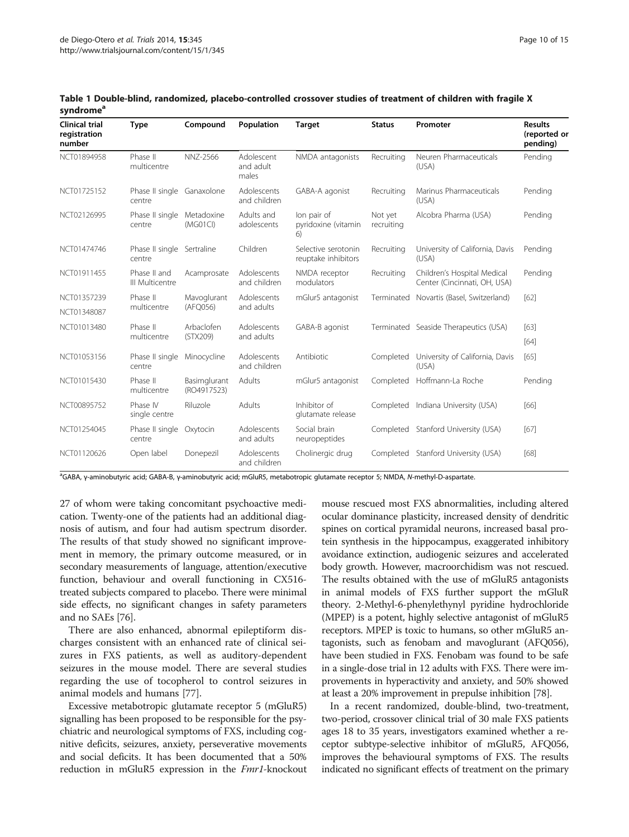| Clinical trial<br>registration<br>number | <b>Type</b>                          | Compound                    | Population                       | <b>Target</b>                              | <b>Status</b>         | Promoter                                                    | <b>Results</b><br>(reported or<br>pending) |
|------------------------------------------|--------------------------------------|-----------------------------|----------------------------------|--------------------------------------------|-----------------------|-------------------------------------------------------------|--------------------------------------------|
| NCT01894958                              | Phase II<br>multicentre              | NN7-2566                    | Adolescent<br>and adult<br>males | NMDA antagonists                           | Recruiting            | Neuren Pharmaceuticals<br>(USA)                             | Pending                                    |
| NCT01725152                              | Phase II single Ganaxolone<br>centre |                             | Adolescents<br>and children      | GABA-A agonist                             | Recruiting            | Marinus Pharmaceuticals<br>(USA)                            | Pending                                    |
| NCT02126995                              | Phase II single<br>centre            | Metadoxine<br>(MGO1CI)      | Adults and<br>adolescents        | lon pair of<br>pyridoxine (vitamin<br>6)   | Not yet<br>recruiting | Alcobra Pharma (USA)                                        | Pending                                    |
| NCT01474746                              | Phase II single<br>centre            | Sertraline                  | Children                         | Selective serotonin<br>reuptake inhibitors | Recruiting            | University of California, Davis<br>(USA)                    | Pending                                    |
| NCT01911455                              | Phase II and<br>III Multicentre      | Acamprosate                 | Adolescents<br>and children      | NMDA receptor<br>modulators                | Recruiting            | Children's Hospital Medical<br>Center (Cincinnati, OH, USA) | Pending                                    |
| NCT01357239                              | Phase II<br>multicentre              | Mavoglurant<br>(AFQ056)     | Adolescents<br>and adults        | mGlur5 antagonist                          | Terminated            | Novartis (Basel, Switzerland)                               | [62]                                       |
| NCT01348087                              |                                      |                             |                                  |                                            |                       |                                                             |                                            |
| NCT01013480                              | Phase II<br>multicentre              | Arbaclofen<br>(STX209)      | Adolescents<br>and adults        | GABA-B agonist                             |                       | Terminated Seaside Therapeutics (USA)                       | [63]<br>[64]                               |
| NCT01053156                              | Phase II single<br>centre            | Minocycline                 | Adolescents<br>and children      | Antibiotic                                 | Completed             | University of California, Davis<br>(USA)                    | [65]                                       |
| NCT01015430                              | Phase II<br>multicentre              | Basimglurant<br>(RO4917523) | Adults                           | mGlur5 antagonist                          |                       | Completed Hoffmann-La Roche                                 | Pending                                    |
| NCT00895752                              | Phase IV<br>single centre            | Riluzole                    | Adults                           | Inhibitor of<br>glutamate release          |                       | Completed Indiana University (USA)                          | [66]                                       |
| NCT01254045                              | Phase II single<br>centre            | Oxytocin                    | Adolescents<br>and adults        | Social brain<br>neuropeptides              |                       | Completed Stanford University (USA)                         | [67]                                       |
| NCT01120626                              | Open label                           | Donepezil                   | Adolescents<br>and children      | Cholinergic drug                           |                       | Completed Stanford University (USA)                         | [68]                                       |

<span id="page-9-0"></span>Table 1 Double-blind, randomized, placebo-controlled crossover studies of treatment of children with fragile X syndrome<sup>a</sup>

a<br>GABA, γ-aminobutyric acid; GABA-B, γ-aminobutyric acid; mGluR5, metabotropic glutamate receptor 5; NMDA, N-methyl-D-aspartate.

27 of whom were taking concomitant psychoactive medication. Twenty-one of the patients had an additional diagnosis of autism, and four had autism spectrum disorder. The results of that study showed no significant improvement in memory, the primary outcome measured, or in secondary measurements of language, attention/executive function, behaviour and overall functioning in CX516 treated subjects compared to placebo. There were minimal side effects, no significant changes in safety parameters and no SAEs [[76](#page-13-0)].

There are also enhanced, abnormal epileptiform discharges consistent with an enhanced rate of clinical seizures in FXS patients, as well as auditory-dependent seizures in the mouse model. There are several studies regarding the use of tocopherol to control seizures in animal models and humans [[77\]](#page-14-0).

Excessive metabotropic glutamate receptor 5 (mGluR5) signalling has been proposed to be responsible for the psychiatric and neurological symptoms of FXS, including cognitive deficits, seizures, anxiety, perseverative movements and social deficits. It has been documented that a 50% reduction in mGluR5 expression in the Fmr1-knockout mouse rescued most FXS abnormalities, including altered ocular dominance plasticity, increased density of dendritic spines on cortical pyramidal neurons, increased basal protein synthesis in the hippocampus, exaggerated inhibitory avoidance extinction, audiogenic seizures and accelerated body growth. However, macroorchidism was not rescued. The results obtained with the use of mGluR5 antagonists in animal models of FXS further support the mGluR theory. 2-Methyl-6-phenylethynyl pyridine hydrochloride (MPEP) is a potent, highly selective antagonist of mGluR5 receptors. MPEP is toxic to humans, so other mGluR5 antagonists, such as fenobam and mavoglurant (AFQ056), have been studied in FXS. Fenobam was found to be safe in a single-dose trial in 12 adults with FXS. There were improvements in hyperactivity and anxiety, and 50% showed at least a 20% improvement in prepulse inhibition [\[78\]](#page-14-0).

In a recent randomized, double-blind, two-treatment, two-period, crossover clinical trial of 30 male FXS patients ages 18 to 35 years, investigators examined whether a receptor subtype-selective inhibitor of mGluR5, AFQ056, improves the behavioural symptoms of FXS. The results indicated no significant effects of treatment on the primary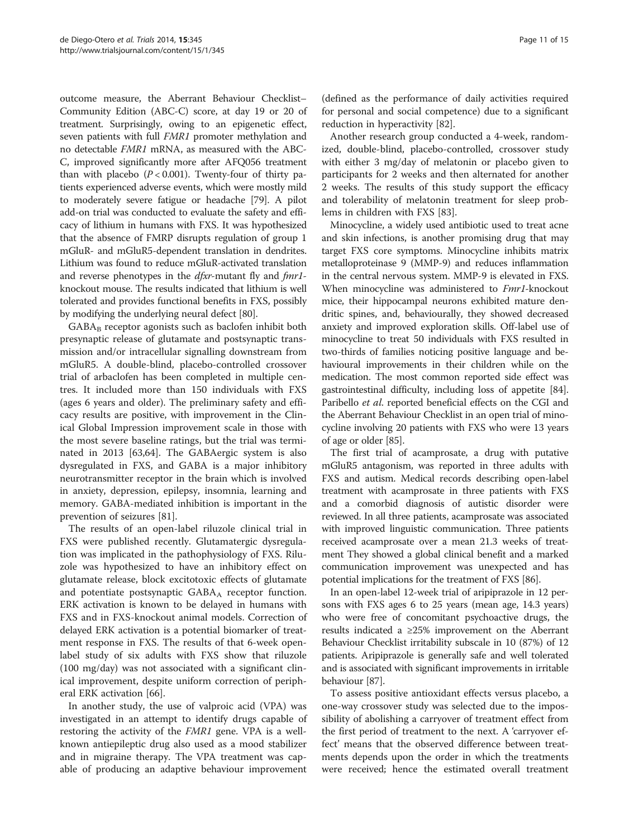outcome measure, the Aberrant Behaviour Checklist– Community Edition (ABC-C) score, at day 19 or 20 of treatment. Surprisingly, owing to an epigenetic effect, seven patients with full FMR1 promoter methylation and no detectable FMR1 mRNA, as measured with the ABC-C, improved significantly more after AFQ056 treatment than with placebo  $(P < 0.001)$ . Twenty-four of thirty patients experienced adverse events, which were mostly mild to moderately severe fatigue or headache [\[79](#page-14-0)]. A pilot add-on trial was conducted to evaluate the safety and efficacy of lithium in humans with FXS. It was hypothesized that the absence of FMRP disrupts regulation of group 1 mGluR- and mGluR5-dependent translation in dendrites. Lithium was found to reduce mGluR-activated translation and reverse phenotypes in the *dfxr*-mutant fly and *fmr1*knockout mouse. The results indicated that lithium is well tolerated and provides functional benefits in FXS, possibly by modifying the underlying neural defect [\[80](#page-14-0)].

GABA<sub>B</sub> receptor agonists such as baclofen inhibit both presynaptic release of glutamate and postsynaptic transmission and/or intracellular signalling downstream from mGluR5. A double-blind, placebo-controlled crossover trial of arbaclofen has been completed in multiple centres. It included more than 150 individuals with FXS (ages 6 years and older). The preliminary safety and efficacy results are positive, with improvement in the Clinical Global Impression improvement scale in those with the most severe baseline ratings, but the trial was terminated in 2013 [\[63,64](#page-13-0)]. The GABAergic system is also dysregulated in FXS, and GABA is a major inhibitory neurotransmitter receptor in the brain which is involved in anxiety, depression, epilepsy, insomnia, learning and memory. GABA-mediated inhibition is important in the prevention of seizures [[81\]](#page-14-0).

The results of an open-label riluzole clinical trial in FXS were published recently. Glutamatergic dysregulation was implicated in the pathophysiology of FXS. Riluzole was hypothesized to have an inhibitory effect on glutamate release, block excitotoxic effects of glutamate and potentiate postsynaptic  $GABA_A$  receptor function. ERK activation is known to be delayed in humans with FXS and in FXS-knockout animal models. Correction of delayed ERK activation is a potential biomarker of treatment response in FXS. The results of that 6-week openlabel study of six adults with FXS show that riluzole (100 mg/day) was not associated with a significant clinical improvement, despite uniform correction of peripheral ERK activation [[66](#page-13-0)].

In another study, the use of valproic acid (VPA) was investigated in an attempt to identify drugs capable of restoring the activity of the FMR1 gene. VPA is a wellknown antiepileptic drug also used as a mood stabilizer and in migraine therapy. The VPA treatment was capable of producing an adaptive behaviour improvement (defined as the performance of daily activities required for personal and social competence) due to a significant reduction in hyperactivity [\[82\]](#page-14-0).

Another research group conducted a 4-week, randomized, double-blind, placebo-controlled, crossover study with either 3 mg/day of melatonin or placebo given to participants for 2 weeks and then alternated for another 2 weeks. The results of this study support the efficacy and tolerability of melatonin treatment for sleep problems in children with FXS [[83\]](#page-14-0).

Minocycline, a widely used antibiotic used to treat acne and skin infections, is another promising drug that may target FXS core symptoms. Minocycline inhibits matrix metalloproteinase 9 (MMP-9) and reduces inflammation in the central nervous system. MMP-9 is elevated in FXS. When minocycline was administered to *Fmr1*-knockout mice, their hippocampal neurons exhibited mature dendritic spines, and, behaviourally, they showed decreased anxiety and improved exploration skills. Off-label use of minocycline to treat 50 individuals with FXS resulted in two-thirds of families noticing positive language and behavioural improvements in their children while on the medication. The most common reported side effect was gastrointestinal difficulty, including loss of appetite [[84](#page-14-0)]. Paribello et al. reported beneficial effects on the CGI and the Aberrant Behaviour Checklist in an open trial of minocycline involving 20 patients with FXS who were 13 years of age or older [\[85](#page-14-0)].

The first trial of acamprosate, a drug with putative mGluR5 antagonism, was reported in three adults with FXS and autism. Medical records describing open-label treatment with acamprosate in three patients with FXS and a comorbid diagnosis of autistic disorder were reviewed. In all three patients, acamprosate was associated with improved linguistic communication. Three patients received acamprosate over a mean 21.3 weeks of treatment They showed a global clinical benefit and a marked communication improvement was unexpected and has potential implications for the treatment of FXS [\[86](#page-14-0)].

In an open-label 12-week trial of aripiprazole in 12 persons with FXS ages 6 to 25 years (mean age, 14.3 years) who were free of concomitant psychoactive drugs, the results indicated a ≥25% improvement on the Aberrant Behaviour Checklist irritability subscale in 10 (87%) of 12 patients. Aripiprazole is generally safe and well tolerated and is associated with significant improvements in irritable behaviour [[87](#page-14-0)].

To assess positive antioxidant effects versus placebo, a one-way crossover study was selected due to the impossibility of abolishing a carryover of treatment effect from the first period of treatment to the next. A 'carryover effect' means that the observed difference between treatments depends upon the order in which the treatments were received; hence the estimated overall treatment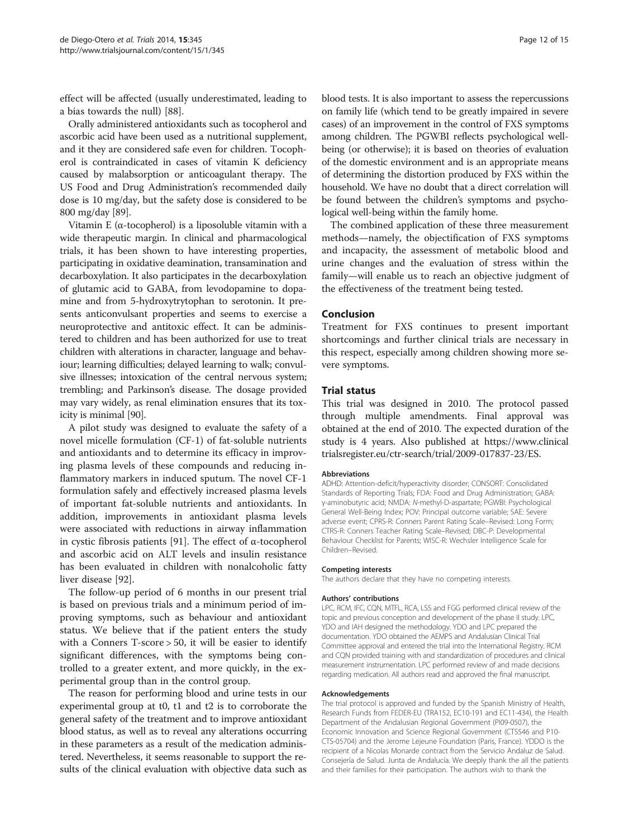effect will be affected (usually underestimated, leading to a bias towards the null) [\[88\]](#page-14-0).

Orally administered antioxidants such as tocopherol and ascorbic acid have been used as a nutritional supplement, and it they are considered safe even for children. Tocopherol is contraindicated in cases of vitamin K deficiency caused by malabsorption or anticoagulant therapy. The US Food and Drug Administration's recommended daily dose is 10 mg/day, but the safety dose is considered to be 800 mg/day [\[89\]](#page-14-0).

Vitamin E (α-tocopherol) is a liposoluble vitamin with a wide therapeutic margin. In clinical and pharmacological trials, it has been shown to have interesting properties, participating in oxidative deamination, transamination and decarboxylation. It also participates in the decarboxylation of glutamic acid to GABA, from levodopamine to dopamine and from 5-hydroxytrytophan to serotonin. It presents anticonvulsant properties and seems to exercise a neuroprotective and antitoxic effect. It can be administered to children and has been authorized for use to treat children with alterations in character, language and behaviour; learning difficulties; delayed learning to walk; convulsive illnesses; intoxication of the central nervous system; trembling; and Parkinson's disease. The dosage provided may vary widely, as renal elimination ensures that its toxicity is minimal [[90](#page-14-0)].

A pilot study was designed to evaluate the safety of a novel micelle formulation (CF-1) of fat-soluble nutrients and antioxidants and to determine its efficacy in improving plasma levels of these compounds and reducing inflammatory markers in induced sputum. The novel CF-1 formulation safely and effectively increased plasma levels of important fat-soluble nutrients and antioxidants. In addition, improvements in antioxidant plasma levels were associated with reductions in airway inflammation in cystic fibrosis patients [\[91\]](#page-14-0). The effect of α-tocopherol and ascorbic acid on ALT levels and insulin resistance has been evaluated in children with nonalcoholic fatty liver disease [\[92\]](#page-14-0).

The follow-up period of 6 months in our present trial is based on previous trials and a minimum period of improving symptoms, such as behaviour and antioxidant status. We believe that if the patient enters the study with a Conners T-score > 50, it will be easier to identify significant differences, with the symptoms being controlled to a greater extent, and more quickly, in the experimental group than in the control group.

The reason for performing blood and urine tests in our experimental group at t0, t1 and t2 is to corroborate the general safety of the treatment and to improve antioxidant blood status, as well as to reveal any alterations occurring in these parameters as a result of the medication administered. Nevertheless, it seems reasonable to support the results of the clinical evaluation with objective data such as

blood tests. It is also important to assess the repercussions on family life (which tend to be greatly impaired in severe cases) of an improvement in the control of FXS symptoms among children. The PGWBI reflects psychological wellbeing (or otherwise); it is based on theories of evaluation of the domestic environment and is an appropriate means of determining the distortion produced by FXS within the household. We have no doubt that a direct correlation will be found between the children's symptoms and psychological well-being within the family home.

The combined application of these three measurement methods—namely, the objectification of FXS symptoms and incapacity, the assessment of metabolic blood and urine changes and the evaluation of stress within the family—will enable us to reach an objective judgment of the effectiveness of the treatment being tested.

#### Conclusion

Treatment for FXS continues to present important shortcomings and further clinical trials are necessary in this respect, especially among children showing more severe symptoms.

## Trial status

This trial was designed in 2010. The protocol passed through multiple amendments. Final approval was obtained at the end of 2010. The expected duration of the study is 4 years. Also published at [https://www.clinical](https://www.clinicaltrialsregister.eu/ctr-search/trial/2009-017837-23/ES) [trialsregister.eu/ctr-search/trial/2009-017837-23/ES](https://www.clinicaltrialsregister.eu/ctr-search/trial/2009-017837-23/ES).

#### Abbreviations

ADHD: Attention-deficit/hyperactivity disorder; CONSORT: Consolidated Standards of Reporting Trials; FDA: Food and Drug Administration; GABA: γ-aminobutyric acid; NMDA: N-methyl-D-aspartate; PGWBI: Psychological General Well-Being Index; POV: Principal outcome variable; SAE: Severe adverse event; CPRS-R: Conners Parent Rating Scale–Revised: Long Form; CTRS-R: Conners Teacher Rating Scale–Revised; DBC-P: Developmental Behaviour Checklist for Parents; WISC-R: Wechsler Intelligence Scale for Children–Revised.

#### Competing interests

The authors declare that they have no competing interests.

#### Authors' contributions

LPC, RCM, IFC, CQN, MTFL, RCA, LSS and FGG performed clinical review of the topic and previous conception and development of the phase II study. LPC, YDO and IAH designed the methodology. YDO and LPC prepared the documentation. YDO obtained the AEMPS and Andalusian Clinical Trial Committee approval and entered the trial into the International Registry. RCM and CQN provided training with and standardization of procedures and clinical measurement instrumentation. LPC performed review of and made decisions regarding medication. All authors read and approved the final manuscript.

#### Acknowledgements

The trial protocol is approved and funded by the Spanish Ministry of Health, Research Funds from FEDER-EU (TRA152, EC10-191 and EC11-434), the Health Department of the Andalusian Regional Government (PI09-0507), the Economic Innovation and Science Regional Government (CTS546 and P10- CTS-05704) and the Jerome Lejeune Foundation (Paris, France). YDDO is the recipient of a Nicolas Monarde contract from the Servicio Andaluz de Salud. Consejería de Salud. Junta de Andalucía. We deeply thank the all the patients and their families for their participation. The authors wish to thank the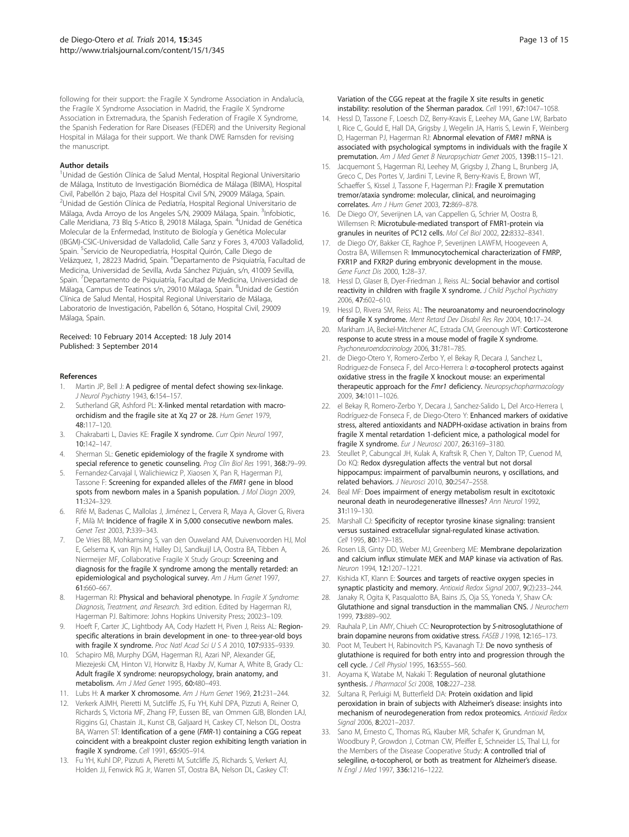<span id="page-12-0"></span>following for their support: the Fragile X Syndrome Association in Andalucía, the Fragile X Syndrome Association in Madrid, the Fragile X Syndrome Association in Extremadura, the Spanish Federation of Fragile X Syndrome, the Spanish Federation for Rare Diseases (FEDER) and the University Regional Hospital in Málaga for their support. We thank DWE Ramsden for revising the manuscript.

#### Author details

<sup>1</sup>Unidad de Gestión Clínica de Salud Mental, Hospital Regional Universitario de Málaga, Instituto de Investigación Biomédica de Málaga (IBIMA), Hospital Civil, Pabellón 2 bajo, Plaza del Hospital Civil S/N, 29009 Málaga, Spain. <sup>2</sup>Unidad de Gestión Clínica de Pediatría, Hospital Regional Universitario de Málaga, Avda Arroyo de los Angeles S/N, 29009 Málaga, Spain. <sup>3</sup>Infobiotic, Calle Meridiana, 73 Blq 5-Atico B, 29018 Málaga, Spain. <sup>4</sup>Unidad de Genética Molecular de la Enfermedad, Instituto de Biología y Genética Molecular (IBGM)-CSIC-Universidad de Valladolid, Calle Sanz y Fores 3, 47003 Valladolid, Spain. <sup>5</sup>Servicio de Neuropediatría, Hospital Quirón, Calle Diego de Velázquez, 1, 28223 Madrid, Spain. <sup>6</sup>Departamento de Psiquiatría, Facultad de Medicina, Universidad de Sevilla, Avda Sánchez Pizjuán, s/n, 41009 Sevilla, Spain. <sup>7</sup>Departamento de Psiquiatría, Facultad de Medicina, Universidad de Málaga, Campus de Teatinos s/n, 29010 Málaga, Spain. <sup>8</sup>Unidad de Gestión Clínica de Salud Mental, Hospital Regional Universitario de Málaga, Laboratorio de Investigación, Pabellón 6, Sótano, Hospital Civil, 29009 Málaga, Spain.

#### Received: 10 February 2014 Accepted: 18 July 2014 Published: 3 September 2014

#### References

- 1. Martin JP, Bell J: A pedigree of mental defect showing sex-linkage. J Neurol Psychiatry 1943, 6:154–157.
- Sutherland GR, Ashford PL: X-linked mental retardation with macroorchidism and the fragile site at Xq 27 or 28. Hum Genet 1979, 48:117–120.
- 3. Chakrabarti L, Davies KE: Fragile X syndrome. Curr Opin Neurol 1997, 10:142–147.
- 4. Sherman SL: Genetic epidemiology of the fragile X syndrome with special reference to genetic counseling. Prog Clin Biol Res 1991, 368:79-99.
- 5. Fernandez-Carvajal I, Walichiewicz P, Xiaosen X, Pan R, Hagerman PJ, Tassone F: Screening for expanded alleles of the FMR1 gene in blood spots from newborn males in a Spanish population. J Mol Diagn 2009, 11:324–329.
- Rifé M, Badenas C, Mallolas J, Jiménez L, Cervera R, Maya A, Glover G, Rivera F, Milà M: Incidence of fragile X in 5,000 consecutive newborn males. Genet Test 2003, 7:339–343.
- 7. De Vries BB, Mohkamsing S, van den Ouweland AM, Duivenvoorden HJ, Mol E, Gelsema K, van Rijn M, Halley DJ, Sandkuijl LA, Oostra BA, Tibben A, Niermeijer MF, Collaborative Fragile X Study Group: Screening and diagnosis for the fragile X syndrome among the mentally retarded: an epidemiological and psychological survey. Am J Hum Genet 1997, 61:660–667.
- Hagerman RJ: Physical and behavioral phenotype. In Fragile X Syndrome: Diagnosis, Treatment, and Research. 3rd edition. Edited by Hagerman RJ, Hagerman PJ. Baltimore: Johns Hopkins University Press; 2002:3–109.
- 9. Hoeft F, Carter JC, Lightbody AA, Cody Hazlett H, Piven J, Reiss AL: Regionspecific alterations in brain development in one- to three-year-old boys with fragile X syndrome. Proc Natl Acad Sci U S A 2010, 107:9335-9339.
- 10. Schapiro MB, Murphy DGM, Hagerman RJ, Azari NP, Alexander GE, Miezejeski CM, Hinton VJ, Horwitz B, Haxby JV, Kumar A, White B, Grady CL: Adult fragile X syndrome: neuropsychology, brain anatomy, and metabolism. Am J Med Genet 1995, 60:480–493.
- 11. Lubs H: A marker X chromosome. Am J Hum Genet 1969, 21:231–244.
- 12. Verkerk AJMH, Pieretti M, Sutcliffe JS, Fu YH, Kuhl DPA, Pizzuti A, Reiner O, Richards S, Victoria MF, Zhang FP, Eussen BE, van Ommen GJB, Blonden LAJ, Riggins GJ, Chastain JL, Kunst CB, Galjaard H, Caskey CT, Nelson DL, Oostra BA, Warren ST: Identification of a gene (FMR-1) containing a CGG repeat coincident with a breakpoint cluster region exhibiting length variation in fragile X syndrome. Cell 1991, 65:905–914.
- 13. Fu YH, Kuhl DP, Pizzuti A, Pieretti M, Sutcliffe JS, Richards S, Verkert AJ, Holden JJ, Fenwick RG Jr, Warren ST, Oostra BA, Nelson DL, Caskey CT:

Variation of the CGG repeat at the fragile X site results in genetic instability: resolution of the Sherman paradox. Cell 1991, 67:1047–1058.

- 14. Hessl D, Tassone F, Loesch DZ, Berry-Kravis E, Leehey MA, Gane LW, Barbato I, Rice C, Gould E, Hall DA, Grigsby J, Wegelin JA, Harris S, Lewin F, Weinberg D, Hagerman PJ, Hagerman RJ: Abnormal elevation of FMR1 mRNA is associated with psychological symptoms in individuals with the fragile X premutation. Am J Med Genet B Neuropsychiatr Genet 2005, 139B:115–121.
- 15. Jacquemont S, Hagerman RJ, Leehey M, Grigsby J, Zhang L, Brunberg JA, Greco C, Des Portes V, Jardini T, Levine R, Berry-Kravis E, Brown WT, Schaeffer S, Kissel J, Tassone F, Hagerman PJ: Fragile X premutation tremor/ataxia syndrome: molecular, clinical, and neuroimaging correlates. Am J Hum Genet 2003, 72:869–878.
- 16. De Diego OY, Severijnen LA, van Cappellen G, Schrier M, Oostra B, Willemsen R: Microtubule-mediated transport of FMR1-protein via granules in neurites of PC12 cells. Mol Cel Biol 2002, 22:8332–8341.
- 17. de Diego OY, Bakker CE, Raghoe P, Severijnen LAWFM, Hoogeveen A, Oostra BA, Willemsen R: Immunocytochemical characterization of FMRP, FXR1P and FXR2P during embryonic development in the mouse. Gene Funct Dis 2000, 1:28–37.
- 18. Hessl D, Glaser B, Dyer-Friedman J, Reiss AL: Social behavior and cortisol reactivity in children with fragile X syndrome. J Child Psychol Psychiatry 2006, 47:602–610.
- 19. Hessl D, Rivera SM, Reiss AL: The neuroanatomy and neuroendocrinology of fragile X syndrome. Ment Retard Dev Disabil Res Rev 2004, 10:17–24.
- 20. Markham JA, Beckel-Mitchener AC, Estrada CM, Greenough WT: Corticosterone response to acute stress in a mouse model of fragile X syndrome. Psychoneuroendocrinology 2006, 31:781–785.
- 21. de Diego-Otero Y, Romero-Zerbo Y, el Bekay R, Decara J, Sanchez L, Rodriguez-de Fonseca F, del Arco-Herrera I: α-tocopherol protects against oxidative stress in the fragile X knockout mouse: an experimental therapeutic approach for the Fmr1 deficiency. Neuropsychopharmacology 2009, 34:1011–1026.
- 22. el Bekay R, Romero-Zerbo Y, Decara J, Sanchez-Salido L, Del Arco-Herrera I, Rodríguez-de Fonseca F, de Diego-Otero Y: Enhanced markers of oxidative stress, altered antioxidants and NADPH-oxidase activation in brains from fragile X mental retardation 1-deficient mice, a pathological model for fragile X syndrome. Eur J Neurosci 2007, 26:3169-3180.
- 23. Steullet P, Cabungcal JH, Kulak A, Kraftsik R, Chen Y, Dalton TP, Cuenod M, Do KQ: Redox dysregulation affects the ventral but not dorsal hippocampus: impairment of parvalbumin neurons, γ oscillations, and related behaviors. J Neurosci 2010, 30:2547–2558.
- 24. Beal MF: Does impairment of energy metabolism result in excitotoxic neuronal death in neurodegenerative illnesses? Ann Neurol 1992, 31:119–130.
- 25. Marshall CJ: Specificity of receptor tyrosine kinase signaling: transient versus sustained extracellular signal-regulated kinase activation. Cell 1995, 80:179–185.
- 26. Rosen LB, Ginty DD, Weber MJ, Greenberg ME: Membrane depolarization and calcium influx stimulate MEK and MAP kinase via activation of Ras. Neuron 1994, 12:1207–1221.
- 27. Kishida KT, Klann E: Sources and targets of reactive oxygen species in synaptic plasticity and memory. Antioxid Redox Signal 2007, 9(2):233-244.
- 28. Janaky R, Ogita K, Pasqualotto BA, Bains JS, Oja SS, Yoneda Y, Shaw CA: Glutathione and signal transduction in the mammalian CNS. J Neurochem 1999, 73:889–902.
- 29. Rauhala P, Lin AMY, Chiueh CC: Neuroprotection by S-nitrosoglutathione of brain dopamine neurons from oxidative stress. FASEB J 1998, 12:165–173.
- 30. Poot M, Teubert H, Rabinovitch PS, Kavanagh TJ: De novo synthesis of glutathione is required for both entry into and progression through the cell cycle. J Cell Physiol 1995, 163:555–560.
- 31. Aoyama K, Watabe M, Nakaki T: Regulation of neuronal glutathione synthesis. J Pharmacol Sci 2008, 108:227–238.
- 32. Sultana R, Perluigi M, Butterfield DA: Protein oxidation and lipid peroxidation in brain of subjects with Alzheimer's disease: insights into mechanism of neurodegeneration from redox proteomics. Antioxid Redox Signal 2006, 8:2021–2037.
- 33. Sano M, Ernesto C, Thomas RG, Klauber MR, Schafer K, Grundman M, Woodbury P, Growdon J, Cotman CW, Pfeiffer E, Schneider LS, Thal LJ, for the Members of the Disease Cooperative Study: A controlled trial of selegiline, α-tocopherol, or both as treatment for Alzheimer's disease. N Engl J Med 1997, 336:1216–1222.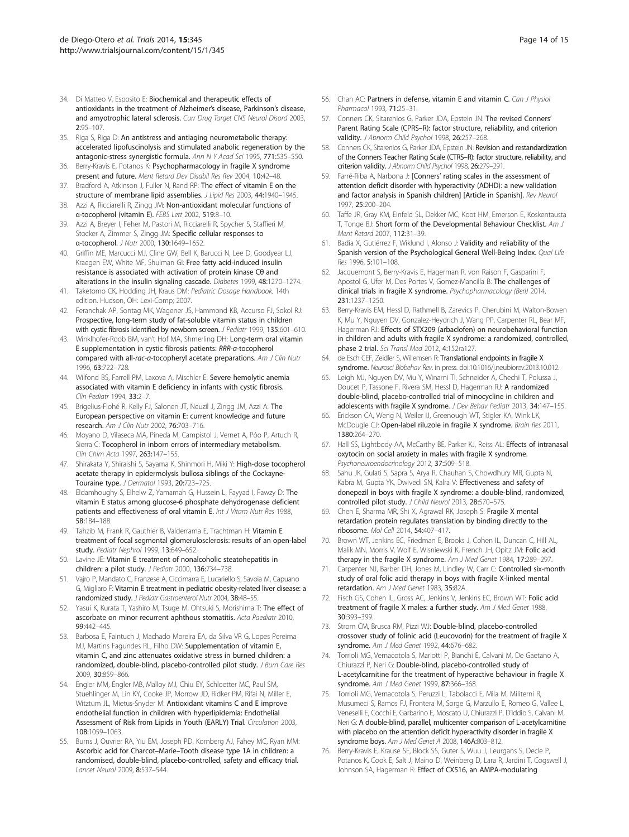- <span id="page-13-0"></span>34. Di Matteo V, Esposito E: Biochemical and therapeutic effects of antioxidants in the treatment of Alzheimer's disease, Parkinson's disease, and amyotrophic lateral sclerosis. Curr Drug Target CNS Neurol Disord 2003, 2:95–107.
- 35. Riga S, Riga D: An antistress and antiaging neurometabolic therapy: accelerated lipofuscinolysis and stimulated anabolic regeneration by the antagonic-stress synergistic formula. Ann N Y Acad Sci 1995, 771:535–550.
- 36. Berry-Kravis E, Potanos K: Psychopharmacology in fragile X syndrome present and future. Ment Retard Dev Disabil Res Rev 2004, 10:42–48.
- 37. Bradford A, Atkinson J, Fuller N, Rand RP: The effect of vitamin E on the structure of membrane lipid assemblies. J Lipid Res 2003, 44:1940–1945.
- 38. Azzi A, Ricciarelli R, Zingg JM: Non-antioxidant molecular functions of α-tocopherol (vitamin E). FEBS Lett 2002, 519:8–10.
- 39. Azzi A, Breyer I, Feher M, Pastori M, Ricciarelli R, Spycher S, Staffieri M, Stocker A, Zimmer S, Zingg JM: Specific cellular responses to α-tocopherol. J Nutr 2000, 130:1649–1652.
- 40. Griffin ME, Marcucci MJ, Cline GW, Bell K, Barucci N, Lee D, Goodyear LJ, Kraegen EW, White MF, Shulman GI: Free fatty acid-induced insulin resistance is associated with activation of protein kinase Cθ and alterations in the insulin signaling cascade. Diabetes 1999, 48:1270–1274.
- 41. Taketomo CK, Hodding JH, Kraus DM: Pediatric Dosage Handbook. 14th edition. Hudson, OH: Lexi-Comp; 2007.
- 42. Feranchak AP, Sontag MK, Wagener JS, Hammond KB, Accurso FJ, Sokol RJ: Prospective, long-term study of fat-soluble vitamin status in children with cystic fibrosis identified by newborn screen. J Pediatr 1999, 135:601-610.
- 43. Winklhofer-Roob BM, van't Hof MA, Shmerling DH: Long-term oral vitamin E supplementation in cystic fibrosis patients: RRR-α-tocopherol compared with all-rac-α-tocopheryl acetate preparations. Am J Clin Nutr 1996, 63:722–728.
- 44. Wilfond BS, Farrell PM, Laxova A, Mischler E: Severe hemolytic anemia associated with vitamin E deficiency in infants with cystic fibrosis. Clin Pediatr 1994, 33:2–7.
- 45. Brigelius-Flohé R, Kelly FJ, Salonen JT, Neuzil J, Zingg JM, Azzi A: The European perspective on vitamin E: current knowledge and future research. Am J Clin Nutr 2002, 76:703–716.
- 46. Moyano D, Vilaseca MA, Pineda M, Campistol J, Vernet A, Póo P, Artuch R, Sierra C: Tocopherol in inborn errors of intermediary metabolism. Clin Chim Acta 1997, 263:147–155.
- 47. Shirakata Y, Shiraishi S, Sayama K, Shinmori H, Miki Y: High-dose tocopherol acetate therapy in epidermolysis bullosa siblings of the Cockayne-Touraine type. J Dermatol 1993, 20:723–725.
- 48. Eldamhoughy S, Elhelw Z, Yamamah G, Hussein L, Fayyad I, Fawzy D: The vitamin E status among glucose-6 phosphate dehydrogenase deficient patients and effectiveness of oral vitamin E. Int J Vitam Nutr Res 1988, 58:184–188.
- 49. Tahzib M, Frank R, Gauthier B, Valderrama E, Trachtman H: Vitamin E treatment of focal segmental glomerulosclerosis: results of an open-label study. Pediatr Nephrol 1999, 13:649–652.
- 50. Lavine JE: Vitamin E treatment of nonalcoholic steatohepatitis in children: a pilot study. J Pediatr 2000, 136:734–738.
- 51. Vajro P, Mandato C, Franzese A, Ciccimarra E, Lucariello S, Savoia M, Capuano G, Migliaro F: Vitamin E treatment in pediatric obesity-related liver disease: a randomized study. J Pediatr Gastroenterol Nutr 2004, 38:48–55.
- 52. Yasui K, Kurata T, Yashiro M, Tsuge M, Ohtsuki S, Morishima T: The effect of ascorbate on minor recurrent aphthous stomatitis. Acta Paediatr 2010, 99:442–445.
- 53. Barbosa E, Faintuch J, Machado Moreira EA, da Silva VR G, Lopes Pereima MJ, Martins Fagundes RL, Filho DW: Supplementation of vitamin E, vitamin C, and zinc attenuates oxidative stress in burned children: a randomized, double-blind, placebo-controlled pilot study. J Burn Care Res 2009, 30:859–866.
- 54. Engler MM, Engler MB, Malloy MJ, Chiu EY, Schloetter MC, Paul SM, Stuehlinger M, Lin KY, Cooke JP, Morrow JD, Ridker PM, Rifai N, Miller E, Witztum JL, Mietus-Snyder M: Antioxidant vitamins C and E improve endothelial function in children with hyperlipidemia: Endothelial Assessment of Risk from Lipids in Youth (EARLY) Trial. Circulation 2003, 108:1059–1063.
- 55. Burns J, Ouvrier RA, Yiu EM, Joseph PD, Kornberg AJ, Fahey MC, Ryan MM: Ascorbic acid for Charcot–Marie–Tooth disease type 1A in children: a randomised, double-blind, placebo-controlled, safety and efficacy trial. Lancet Neurol 2009, 8:537–544.
- 56. Chan AC: Partners in defense, vitamin E and vitamin C. Can J Physiol Pharmacol 1993, 71:25–31.
- 57. Conners CK, Sitarenios G, Parker JDA, Epstein JN: The revised Conners' Parent Rating Scale (CPRS–R): factor structure, reliability, and criterion validity. J Abnorm Child Psychol 1998, 26:257-268.
- 58. Conners CK, Sitarenios G, Parker JDA, Epstein JN: Revision and restandardization of the Conners Teacher Rating Scale (CTRS–R): factor structure, reliability, and criterion validity. J Abnorm Child Psychol 1998, 26:279–291.
- 59. Farré-Riba A, Narbona J: [Conners' rating scales in the assessment of attention deficit disorder with hyperactivity (ADHD): a new validation and factor analysis in Spanish children] [Article in Spanish]. Rev Neurol 1997, 25:200–204.
- 60. Taffe JR, Gray KM, Einfeld SL, Dekker MC, Koot HM, Emerson E, Koskentausta T, Tonge BJ: Short form of the Developmental Behaviour Checklist. Am J Ment Retard 2007, 112:31–39.
- 61. Badia X, Gutiérrez F, Wiklund I, Alonso J: Validity and reliability of the Spanish version of the Psychological General Well-Being Index. Qual Life Res 1996, 5:101-108.
- 62. Jacquemont S, Berry-Kravis E, Hagerman R, von Raison F, Gasparini F, Apostol G, Ufer M, Des Portes V, Gomez-Mancilla B: The challenges of clinical trials in fragile X syndrome. Psychopharmacology (Berl) 2014, 231:1237–1250.
- 63. Berry-Kravis EM, Hessl D, Rathmell B, Zarevics P, Cherubini M, Walton-Bowen K, Mu Y, Nguyen DV, Gonzalez-Heydrich J, Wang PP, Carpenter RL, Bear MF, Hagerman RJ: Effects of STX209 (arbaclofen) on neurobehavioral function in children and adults with fragile X syndrome: a randomized, controlled, phase 2 trial. Sci Transl Med 2012, 4:152ra127.
- 64. de Esch CEF, Zeidler S, Willemsen R: Translational endpoints in fragile X syndrome. Neurosci Biobehav Rev. in press. doi:10.1016/j.neubiorev.2013.10.012.
- 65. Leigh MJ, Nguyen DV, Mu Y, Winarni TI, Schneider A, Chechi T, Polussa J, Doucet P, Tassone F, Rivera SM, Hessl D, Hagerman RJ: A randomized double-blind, placebo-controlled trial of minocycline in children and adolescents with fragile X syndrome. J Dev Behav Pediatr 2013, 34:147-155.
- 66. Erickson CA, Weng N, Weiler IJ, Greenough WT, Stigler KA, Wink LK, McDougle CJ: Open-label riluzole in fragile X syndrome. Brain Res 2011, 1380:264–270.
- 67. Hall SS, Lightbody AA, McCarthy BE, Parker KJ, Reiss AL: Effects of intranasal oxytocin on social anxiety in males with fragile X syndrome. Psychoneuroendocrinology 2012, 37:509–518.
- 68. Sahu JK, Gulati S, Sapra S, Arya R, Chauhan S, Chowdhury MR, Gupta N, Kabra M, Gupta YK, Dwivedi SN, Kalra V: Effectiveness and safety of donepezil in boys with fragile X syndrome: a double-blind, randomized, controlled pilot study. J Child Neurol 2013, 28:570–575.
- 69. Chen E, Sharma MR, Shi X, Agrawal RK, Joseph S: Fragile X mental retardation protein regulates translation by binding directly to the ribosome. Mol Cell 2014, 54:407–417.
- 70. Brown WT, Jenkins EC, Friedman E, Brooks J, Cohen IL, Duncan C, Hill AL, Malik MN, Morris V, Wolf E, Wisniewski K, French JH, Opitz JM: Folic acid therapy in the fragile X syndrome. Am J Med Genet 1984, 17:289-297.
- 71. Carpenter NJ, Barber DH, Jones M, Lindley W, Carr C: Controlled six-month study of oral folic acid therapy in boys with fragile X-linked mental retardation. Am J Med Genet 1983, 35:82A.
- 72. Fisch GS, Cohen IL, Gross AC, Jenkins V, Jenkins EC, Brown WT: Folic acid treatment of fragile X males: a further study. Am J Med Genet 1988, 30:393–399.
- 73. Strom CM, Brusca RM, Pizzi WJ: Double-blind, placebo-controlled crossover study of folinic acid (Leucovorin) for the treatment of fragile X syndrome. Am J Med Genet 1992, 44:676-682.
- 74. Torrioli MG, Vernacotola S, Mariotti P, Bianchi E, Calvani M, De Gaetano A, Chiurazzi P, Neri G: Double-blind, placebo-controlled study of L-acetylcarnitine for the treatment of hyperactive behaviour in fragile X syndrome. Am J Med Genet 1999, 87:366–368.
- 75. Torrioli MG, Vernacotola S, Peruzzi L, Tabolacci E, Mila M, Militerni R, Musumeci S, Ramos FJ, Frontera M, Sorge G, Marzullo E, Romeo G, Vallee L, Veneselli E, Cocchi E, Garbarino E, Moscato U, Chiurazzi P, D'Iddio S, Calvani M, Neri G: A double-blind, parallel, multicenter comparison of L-acetylcarnitine with placebo on the attention deficit hyperactivity disorder in fragile X syndrome boys. Am J Med Genet A 2008, 146A:803-812.
- 76. Berry-Kravis E, Krause SE, Block SS, Guter S, Wuu J, Leurgans S, Decle P, Potanos K, Cook E, Salt J, Maino D, Weinberg D, Lara R, Jardini T, Cogswell J, Johnson SA, Hagerman R: Effect of CX516, an AMPA-modulating